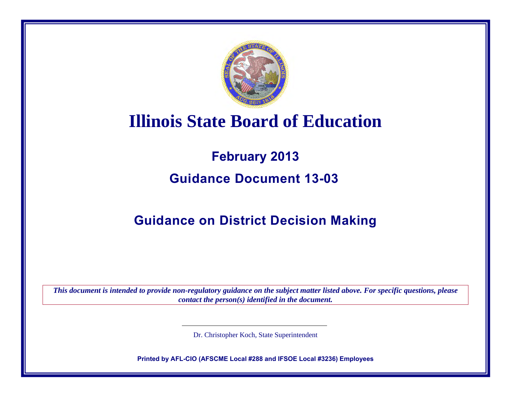

# **Illinois State Board of Education**

# **February 2013 Guidance Document 13-03**

# **Guidance on District Decision Making**

*This document is intended to provide non-regulatory guidance on the subject matter listed above. For specific questions, please contact the person(s) identified in the document.*

Dr. Christopher Koch, State Superintendent

**Printed by AFL-CIO (AFSCME Local #288 and IFSOE Local #3236) Employees**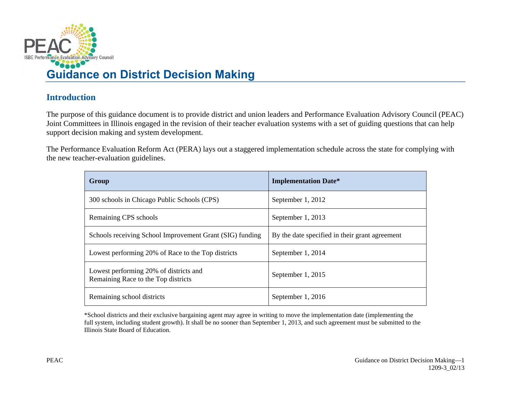

# **Introduction**

The purpose of this guidance document is to provide district and union leaders and Performance Evaluation Advisory Council (PEAC) Joint Committees in Illinois engaged in the revision of their teacher evaluation systems with a set of guiding questions that can help support decision making and system development.

The Performance Evaluation Reform Act (PERA) lays out a staggered implementation schedule across the state for complying with the new teacher-evaluation guidelines.

| Group                                                                         | <b>Implementation Date*</b>                    |
|-------------------------------------------------------------------------------|------------------------------------------------|
| 300 schools in Chicago Public Schools (CPS)                                   | September 1, 2012                              |
| Remaining CPS schools                                                         | September 1, 2013                              |
| Schools receiving School Improvement Grant (SIG) funding                      | By the date specified in their grant agreement |
| Lowest performing 20% of Race to the Top districts                            | September 1, 2014                              |
| Lowest performing 20% of districts and<br>Remaining Race to the Top districts | September 1, 2015                              |
| Remaining school districts                                                    | September 1, 2016                              |

\*School districts and their exclusive bargaining agent may agree in writing to move the implementation date (implementing the full system, including student growth). It shall be no sooner than September 1, 2013, and such agreement must be submitted to the Illinois State Board of Education.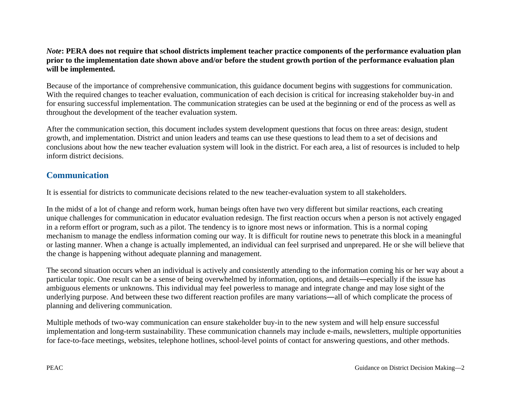#### *Note***: PERA does not require that school districts implement teacher practice components of the performance evaluation plan prior to the implementation date shown above and/or before the student growth portion of the performance evaluation plan will be implemented.**

Because of the importance of comprehensive communication, this guidance document begins with suggestions for communication. With the required changes to teacher evaluation, communication of each decision is critical for increasing stakeholder buy-in and for ensuring successful implementation. The communication strategies can be used at the beginning or end of the process as well as throughout the development of the teacher evaluation system.

After the communication section, this document includes system development questions that focus on three areas: design, student growth, and implementation. District and union leaders and teams can use these questions to lead them to a set of decisions and conclusions about how the new teacher evaluation system will look in the district. For each area, a list of resources is included to help inform district decisions.

# **Communication**

It is essential for districts to communicate decisions related to the new teacher-evaluation system to all stakeholders.

In the midst of a lot of change and reform work, human beings often have two very different but similar reactions, each creating unique challenges for communication in educator evaluation redesign. The first reaction occurs when a person is not actively engaged in a reform effort or program, such as a pilot. The tendency is to ignore most news or information. This is a normal coping mechanism to manage the endless information coming our way. It is difficult for routine news to penetrate this block in a meaningful or lasting manner. When a change is actually implemented, an individual can feel surprised and unprepared. He or she will believe that the change is happening without adequate planning and management.

The second situation occurs when an individual is actively and consistently attending to the information coming his or her way about a particular topic. One result can be a sense of being overwhelmed by information, options, and details―especially if the issue has ambiguous elements or unknowns. This individual may feel powerless to manage and integrate change and may lose sight of the underlying purpose. And between these two different reaction profiles are many variations―all of which complicate the process of planning and delivering communication.

Multiple methods of two-way communication can ensure stakeholder buy-in to the new system and will help ensure successful implementation and long-term sustainability. These communication channels may include e-mails, newsletters, multiple opportunities for face-to-face meetings, websites, telephone hotlines, school-level points of contact for answering questions, and other methods.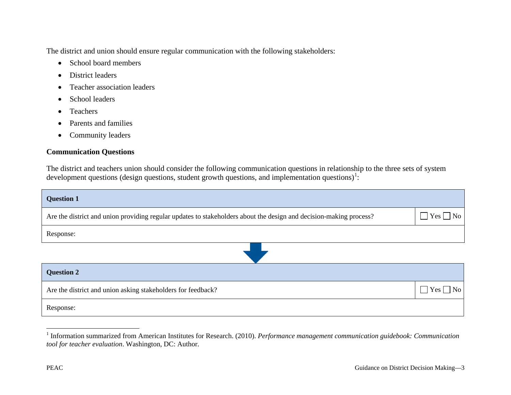The district and union should ensure regular communication with the following stakeholders:

- <span id="page-3-0"></span>• School board members
- District leaders
- Teacher association leaders
- School leaders
- Teachers
- Parents and families
- Community leaders

## **Communication Questions**

The district and teachers union should consider the following communication questions in relationship to the three sets of system development questions (design questions, student growth questions, and implementation questions)<sup>[1](#page-3-0)</sup>:

| <b>Question 1</b>                                                                                                  |                      |
|--------------------------------------------------------------------------------------------------------------------|----------------------|
| Are the district and union providing regular updates to stakeholders about the design and decision-making process? | $\Box$ Yes $\Box$ No |
| Response:                                                                                                          |                      |
|                                                                                                                    |                      |
| <b>Question 2</b>                                                                                                  |                      |
| Are the district and union asking stakeholders for feedback?                                                       | $\Box$ Yes $\Box$ No |
| Response:                                                                                                          |                      |

 $\overline{a}$ 

<sup>&</sup>lt;sup>1</sup> Information summarized from American Institutes for Research. (2010). *Performance management communication guidebook: Communication tool for teacher evaluation*. Washington, DC: Author.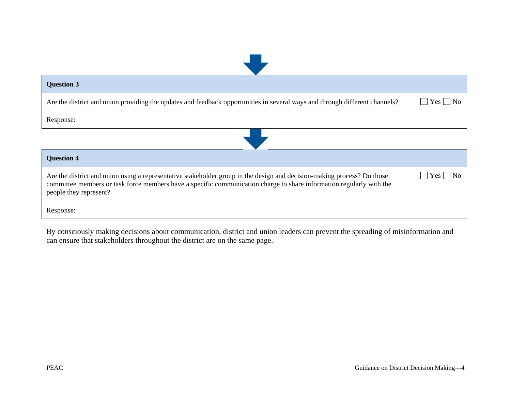| <b>Question 3</b> |  |
|-------------------|--|
|-------------------|--|

Are the district and union providing the updates and feedback opportunities in several ways and through different channels?

|--|--|

Response:



| <b>Question 4</b>                                                                                                                                                                                                                                                         |                    |
|---------------------------------------------------------------------------------------------------------------------------------------------------------------------------------------------------------------------------------------------------------------------------|--------------------|
| Are the district and union using a representative stakeholder group in the design and decision-making process? Do those<br>committee members or task force members have a specific communication charge to share information regularly with the<br>people they represent? | $Yes \mid \neg No$ |
| Response:                                                                                                                                                                                                                                                                 |                    |

By consciously making decisions about communication, district and union leaders can prevent the spreading of misinformation and can ensure that stakeholders throughout the district are on the same page.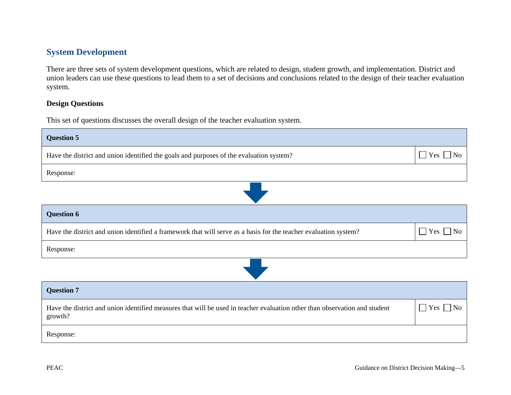# **System Development**

There are three sets of system development questions, which are related to design, student growth, and implementation. District and union leaders can use these questions to lead them to a set of decisions and conclusions related to the design of their teacher evaluation system.

#### **Design Questions**

This set of questions discusses the overall design of the teacher evaluation system.

| <b>Question 5</b>                                                                                                                     |                               |
|---------------------------------------------------------------------------------------------------------------------------------------|-------------------------------|
| Have the district and union identified the goals and purposes of the evaluation system?                                               | $\Box$ Yes $\Box$ No          |
| Response:                                                                                                                             |                               |
|                                                                                                                                       |                               |
| <b>Question 6</b>                                                                                                                     |                               |
| Have the district and union identified a framework that will serve as a basis for the teacher evaluation system?                      | $Yes \tNo$<br>$\mathbf{I}$    |
| Response:                                                                                                                             |                               |
|                                                                                                                                       |                               |
| <b>Question 7</b>                                                                                                                     |                               |
| Have the district and union identified measures that will be used in teacher evaluation other than observation and student<br>growth? | $Yes \Box No$<br>$\mathbf{I}$ |
| Response:                                                                                                                             |                               |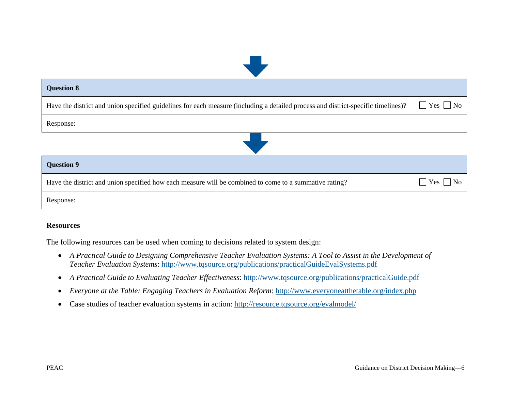| <b>Question 8</b>                                                                                                                 |                        |
|-----------------------------------------------------------------------------------------------------------------------------------|------------------------|
| Have the district and union specified guidelines for each measure (including a detailed process and district-specific timelines)? | $\Box$ Yes $\Box$ No   |
| Response:                                                                                                                         |                        |
|                                                                                                                                   |                        |
| <b>Question 9</b>                                                                                                                 |                        |
| Have the district and union specified how each measure will be combined to come to a summative rating?                            | $\vert$ Yes $\vert$ No |
| Response:                                                                                                                         |                        |

#### **Resources**

The following resources can be used when coming to decisions related to system design:

- *A Practical Guide to Designing Comprehensive Teacher Evaluation Systems: A Tool to Assist in the Development of Teacher Evaluation Systems*:<http://www.tqsource.org/publications/practicalGuideEvalSystems.pdf>
- *A Practical Guide to Evaluating Teacher Effectiveness*:<http://www.tqsource.org/publications/practicalGuide.pdf>
- *Everyone at the Table: Engaging Teachers in Evaluation Reform*: <http://www.everyoneatthetable.org/index.php>
- Case studies of teacher evaluation systems in action:<http://resource.tqsource.org/evalmodel/>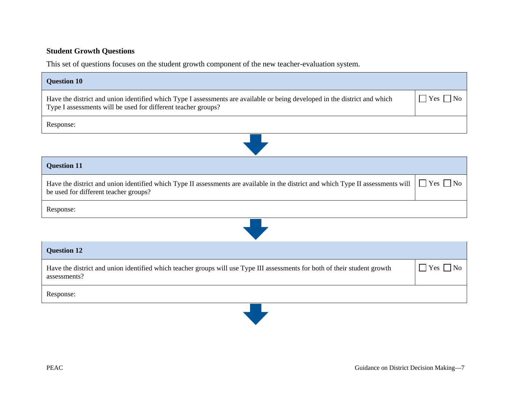## **Student Growth Questions**

This set of questions focuses on the student growth component of the new teacher-evaluation system.

| <b>Question 10</b>                                                                                                                                                                          |                                           |
|---------------------------------------------------------------------------------------------------------------------------------------------------------------------------------------------|-------------------------------------------|
| Have the district and union identified which Type I assessments are available or being developed in the district and which<br>Type I assessments will be used for different teacher groups? | $\blacksquare$ Yes $\blacksquare$<br>  No |
| Response:                                                                                                                                                                                   |                                           |
|                                                                                                                                                                                             |                                           |
| <b>Question 11</b>                                                                                                                                                                          |                                           |
| Have the district and union identified which Type II assessments are available in the district and which Type II assessments will<br>be used for different teacher groups?                  | $\Box$ Yes $\Box$ No                      |
| Response:                                                                                                                                                                                   |                                           |
|                                                                                                                                                                                             |                                           |
| <b>Question 12</b>                                                                                                                                                                          |                                           |
| Have the district and union identified which teacher groups will use Type III assessments for both of their student growth<br>assessments?                                                  | $\Box$ Yes $\Box$<br>No                   |
| Response:                                                                                                                                                                                   |                                           |
|                                                                                                                                                                                             |                                           |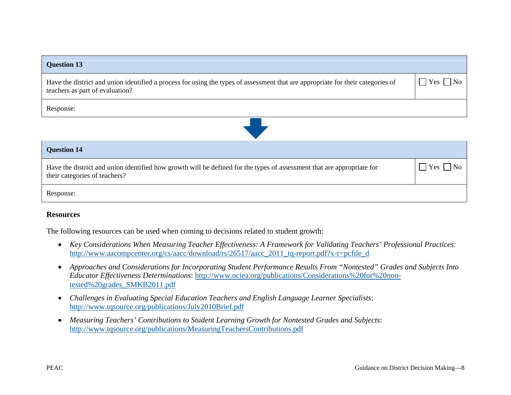#### **Question 13**

Have the district and union identified a process for using the types of assessment that are appropriate for their categories of teachers as part of evaluation?

 $\Box$  Yes  $\Box$  No

Response:



#### **Resources**

The following resources can be used when coming to decisions related to student growth:

- *Key Considerations When Measuring Teacher Effectiveness: A Framework for Validating Teachers' Professional Practices*: http://www.aacompcenter.org/cs/aacc/download/rs/26517/aacc\_2011\_tq-report.pdf?x-r=pcfile\_d
- *Approaches and Considerations for Incorporating Student Performance Results From "Nontested" Grades and Subjects Into Educator Effectiveness Determinations*: [http://www.nciea.org/publications/Considerations%20for%20non](http://www.nciea.org/publications/Considerations%20for%20non-tested%20grades_SMKB2011.pdf)[tested%20grades\\_SMKB2011.pdf](http://www.nciea.org/publications/Considerations%20for%20non-tested%20grades_SMKB2011.pdf)
- *Challenges in Evaluating Special Education Teachers and English Language Learner Specialists*: <http://www.tqsource.org/publications/July2010Brief.pdf>
- *Measuring Teachers' Contributions to Student Learning Growth for Nontested Grades and Subjects*: <http://www.tqsource.org/publications/MeasuringTeachersContributions.pdf>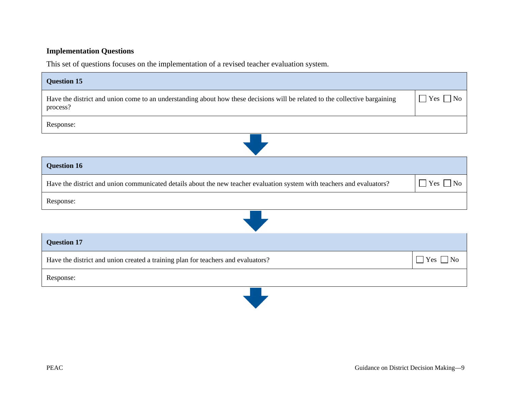### **Implementation Questions**

This set of questions focuses on the implementation of a revised teacher evaluation system.

| <b>Question 15</b>                                                                                                                      |                      |
|-----------------------------------------------------------------------------------------------------------------------------------------|----------------------|
| Have the district and union come to an understanding about how these decisions will be related to the collective bargaining<br>process? | $\Box$ Yes $\Box$ No |
| Response:                                                                                                                               |                      |
|                                                                                                                                         |                      |
| <b>Question 16</b>                                                                                                                      |                      |
| Have the district and union communicated details about the new teacher evaluation system with teachers and evaluators?                  | $\Box$ Yes $\Box$ No |
| Response:                                                                                                                               |                      |
|                                                                                                                                         |                      |
| <b>Question 17</b>                                                                                                                      |                      |
| Have the district and union created a training plan for teachers and evaluators?                                                        | $\Box$ Yes $\Box$ No |
| Response:                                                                                                                               |                      |
|                                                                                                                                         |                      |

**The Contract of Street**